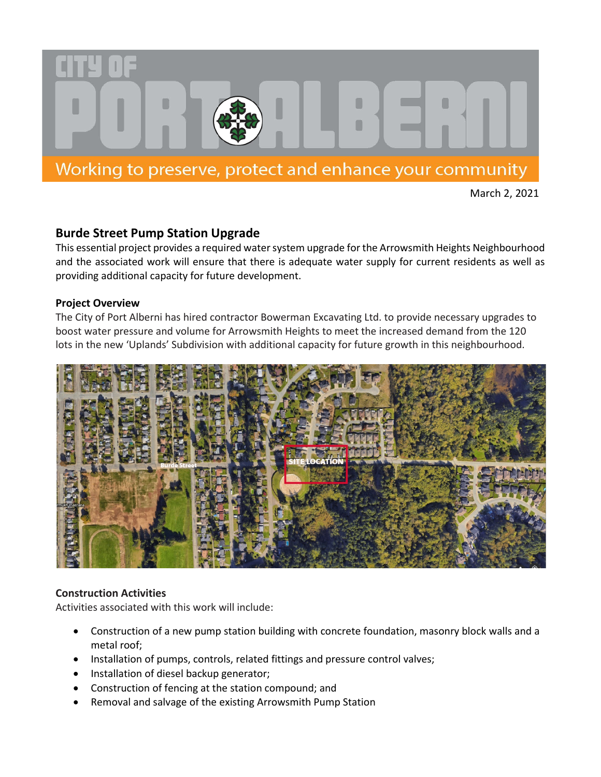

March 2, 2021

# **Burde Street Pump Station Upgrade**

This essential project provides a required water system upgrade for the Arrowsmith Heights Neighbourhood and the associated work will ensure that there is adequate water supply for current residents as well as providing additional capacity for future development.

## **Project Overview**

The City of Port Alberni has hired contractor Bowerman Excavating Ltd. to provide necessary upgrades to boost water pressure and volume for Arrowsmith Heights to meet the increased demand from the 120 lots in the new 'Uplands' Subdivision with additional capacity for future growth in this neighbourhood.



# **Construction Activities**

Activities associated with this work will include:

- Construction of a new pump station building with concrete foundation, masonry block walls and a metal roof;
- Installation of pumps, controls, related fittings and pressure control valves;
- Installation of diesel backup generator;
- Construction of fencing at the station compound; and
- Removal and salvage of the existing Arrowsmith Pump Station